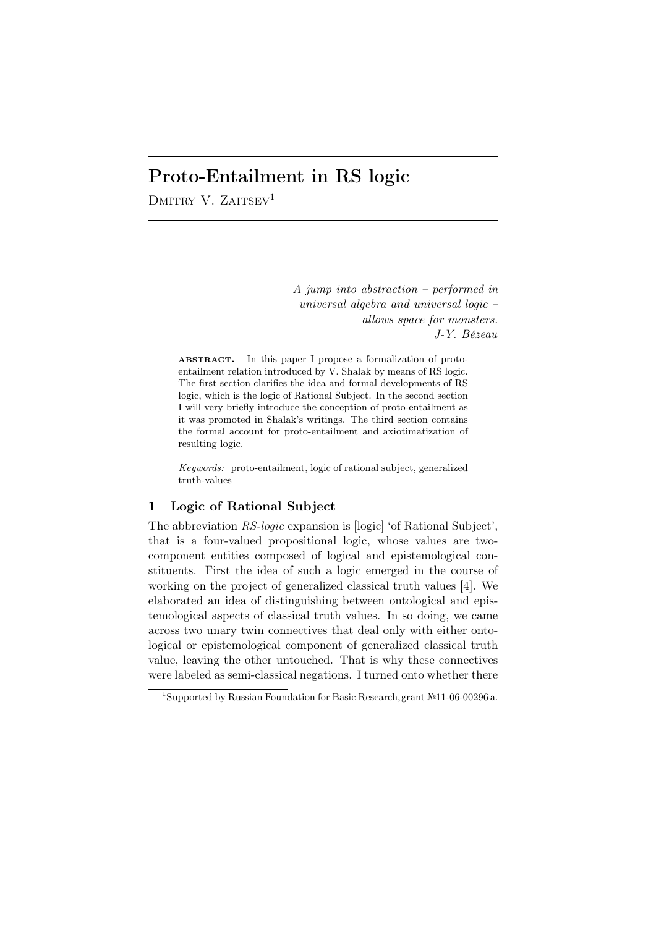# Proto-Entailment in RS logic

DMITRY V.  $ZAITSEV<sup>1</sup>$ 

*A jump into abstraction – performed in universal algebra and universal logic – allows space for monsters. J-Y. B´ezeau*

ABSTRACT. In this paper I propose a formalization of protoentailment relation introduced by V. Shalak by means of RS logic. The first section clarifies the idea and formal developments of RS logic, which is the logic of Rational Subject. In the second section I will very briefly introduce the conception of proto-entailment as it was promoted in Shalak's writings. The third section contains the formal account for proto-entailment and axiotimatization of resulting logic.

*Keywords:* proto-entailment, logic of rational subject, generalized truth-values

# 1 Logic of Rational Subject

The abbreviation *RS-logic* expansion is [logic] 'of Rational Subject', that is a four-valued propositional logic, whose values are twocomponent entities composed of logical and epistemological constituents. First the idea of such a logic emerged in the course of working on the project of generalized classical truth values [4]. We elaborated an idea of distinguishing between ontological and epistemological aspects of classical truth values. In so doing, we came across two unary twin connectives that deal only with either ontological or epistemological component of generalized classical truth value, leaving the other untouched. That is why these connectives were labeled as semi-classical negations. I turned onto whether there

 $\frac{1}{1}$ Supported by Russian Foundation for Basic Research, grant №11-06-00296-а.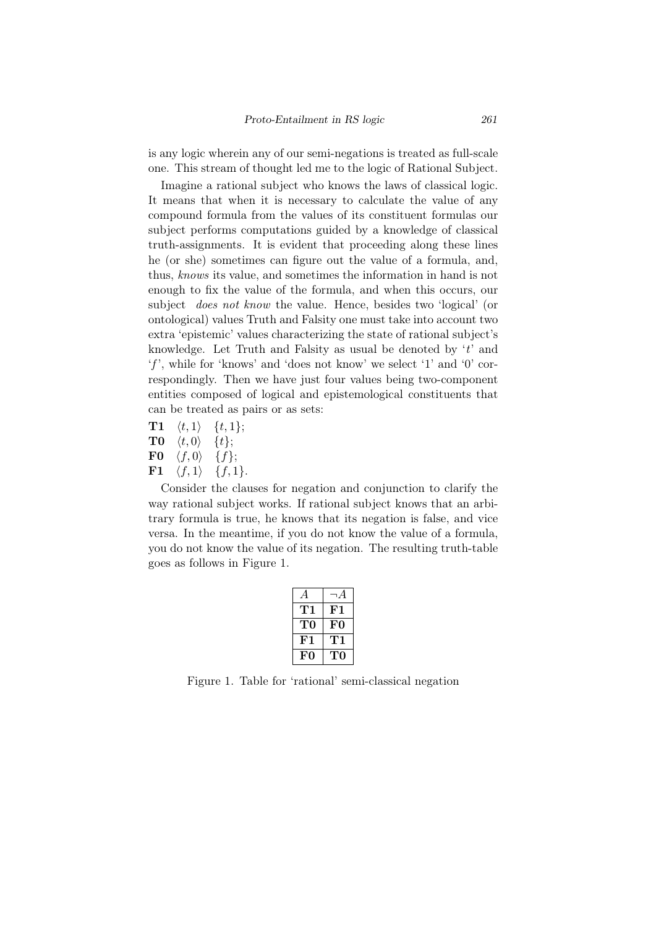is any logic wherein any of our semi-negations is treated as full-scale one. This stream of thought led me to the logic of Rational Subject.

Imagine a rational subject who knows the laws of classical logic. It means that when it is necessary to calculate the value of any compound formula from the values of its constituent formulas our subject performs computations guided by a knowledge of classical truth-assignments. It is evident that proceeding along these lines he (or she) sometimes can figure out the value of a formula, and, thus, *knows* its value, and sometimes the information in hand is not enough to fix the value of the formula, and when this occurs, our subject *does not know* the value. Hence, besides two 'logical' (or ontological) values Truth and Falsity one must take into account two extra 'epistemic' values characterizing the state of rational subject's knowledge. Let Truth and Falsity as usual be denoted by '*t*' and '*f* ', while for 'knows' and 'does not know' we select '1' and '0' correspondingly. Then we have just four values being two-component entities composed of logical and epistemological constituents that can be treated as pairs or as sets:

- $T1 \quad \langle t, 1 \rangle \quad \{t, 1\};$
- $T0 \quad \langle t, 0 \rangle \quad \{t\};$
- $\textbf{F0} \quad \langle f, 0 \rangle \quad \{f\};$
- $F1 \quad \langle f, 1 \rangle \quad \{f, 1\}.$

Consider the clauses for negation and conjunction to clarify the way rational subject works. If rational subject knows that an arbitrary formula is true, he knows that its negation is false, and vice versa. In the meantime, if you do not know the value of a formula, you do not know the value of its negation. The resulting truth-table goes as follows in Figure 1.

| А   | $\neg A$ |
|-----|----------|
| 711 | F1       |
| T0  | F0       |
| F1  | T1       |
| F0  | TО       |

Figure 1. Table for 'rational' semi-classical negation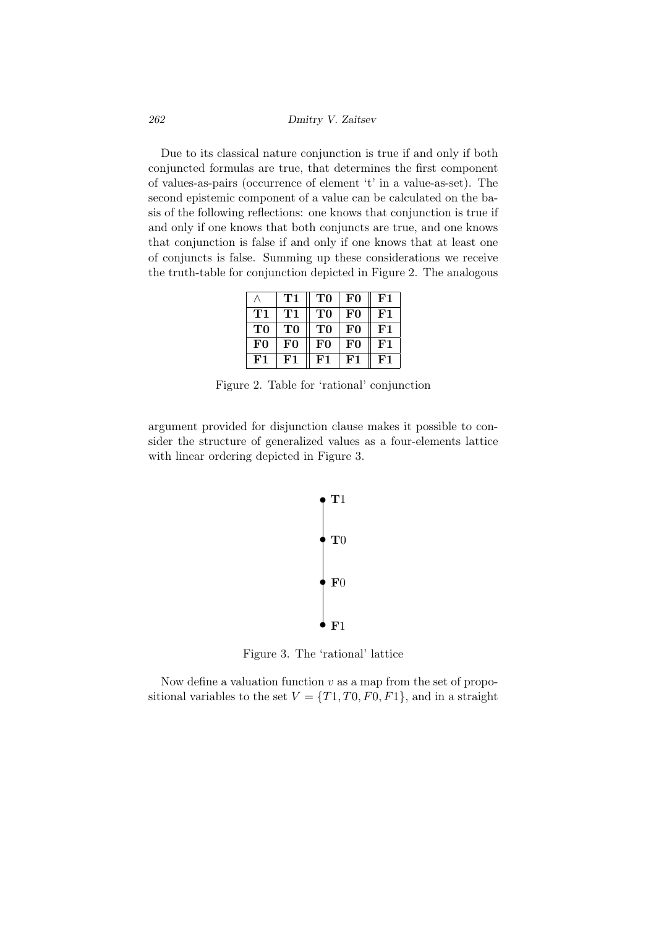*262 Dmitry V. Zaitsev*

Due to its classical nature conjunction is true if and only if both conjuncted formulas are true, that determines the first component of values-as-pairs (occurrence of element 't' in a value-as-set). The second epistemic component of a value can be calculated on the basis of the following reflections: one knows that conjunction is true if and only if one knows that both conjuncts are true, and one knows that conjunction is false if and only if one knows that at least one of conjuncts is false. Summing up these considerations we receive the truth-table for conjunction depicted in Figure 2. The analogous

|    | Т1 | T0             | F0             | $_{\rm F1}$ |
|----|----|----------------|----------------|-------------|
| T1 | T1 | T <sub>0</sub> | F <sub>0</sub> | $_{\rm F1}$ |
| TО | TО | T0             | F0             | F1          |
| F0 | FO | F0             | F0             | $_{\rm F1}$ |
| F1 | F1 | ${\bf F1}$     | F1             | F1          |

Figure 2. Table for 'rational' conjunction

argument provided for disjunction clause makes it possible to consider the structure of generalized values as a four-elements lattice with linear ordering depicted in Figure 3.



Figure 3. The 'rational' lattice

Now define a valuation function *v* as a map from the set of propositional variables to the set  $V = \{T1, T0, F0, F1\}$ , and in a straight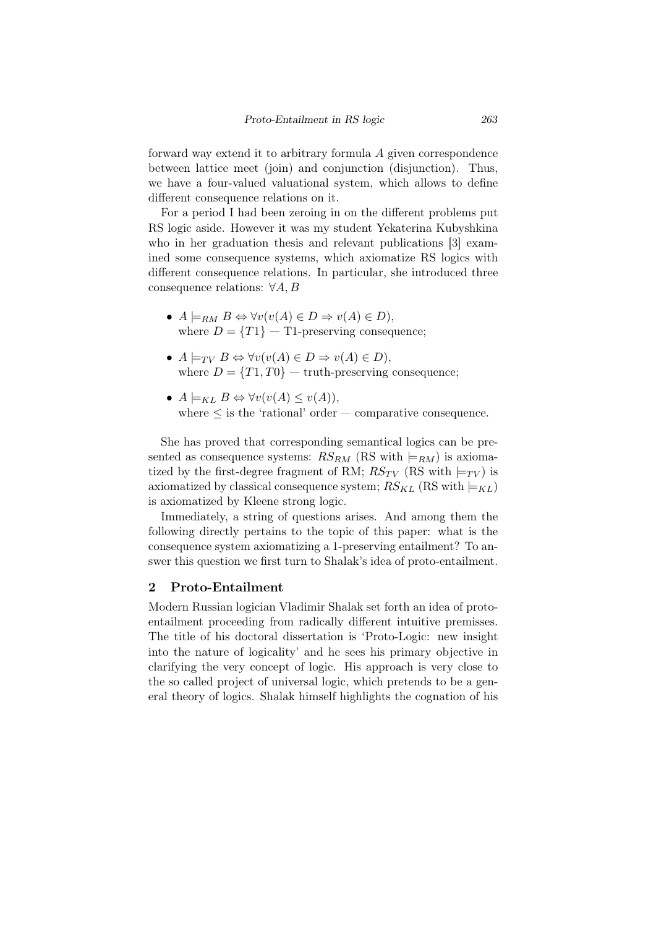forward way extend it to arbitrary formula *A* given correspondence between lattice meet (join) and conjunction (disjunction). Thus, we have a four-valued valuational system, which allows to define different consequence relations on it.

For a period I had been zeroing in on the different problems put RS logic aside. However it was my student Yekaterina Kubyshkina who in her graduation thesis and relevant publications [3] examined some consequence systems, which axiomatize RS logics with different consequence relations. In particular, she introduced three consequence relations: *∀A, B*

- *•*  $A \models_{RM} B \Leftrightarrow \forall v (v(A) \in D \Rightarrow v(A) \in D),$ where  $D = \{T1\} - T1$ -preserving consequence;
- $A \models_{TV} B \Leftrightarrow \forall v (v(A) \in D \Rightarrow v(A) \in D),$ where  $D = \{T1, T0\}$  — truth-preserving consequence;
- *• A |*=*KL B ⇔ ∀v*(*v*(*A*) *≤ v*(*A*)), where  $\leq$  is the 'rational' order — comparative consequence.

She has proved that corresponding semantical logics can be presented as consequence systems:  $RS_{RM}$  (RS with  $\models_{RM}$ ) is axiomatized by the first-degree fragment of RM;  $RS_{TV}$  (RS with  $\models_{TV}$ ) is axiomatized by classical consequence system;  $RS_{KL}$  (RS with  $\models_{KL}$ ) is axiomatized by Kleene strong logic.

Immediately, a string of questions arises. And among them the following directly pertains to the topic of this paper: what is the consequence system axiomatizing a 1-preserving entailment? To answer this question we first turn to Shalak's idea of proto-entailment.

#### 2 Proto-Entailment

Modern Russian logician Vladimir Shalak set forth an idea of protoentailment proceeding from radically different intuitive premisses. The title of his doctoral dissertation is 'Proto-Logic: new insight into the nature of logicality' and he sees his primary objective in clarifying the very concept of logic. His approach is very close to the so called project of universal logic, which pretends to be a general theory of logics. Shalak himself highlights the cognation of his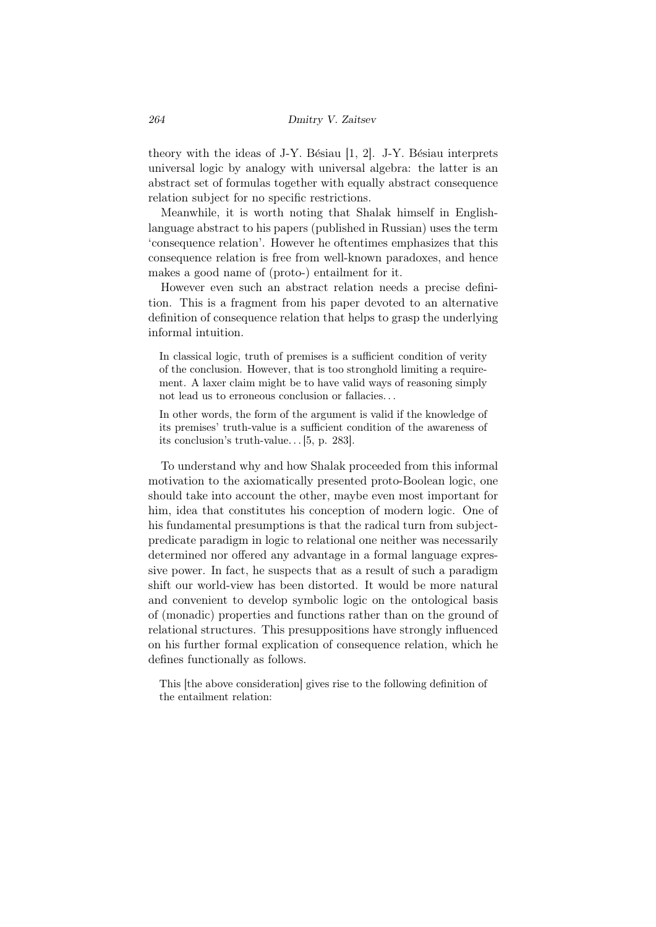theory with the ideas of J-Y. Bésiau  $[1, 2]$ . J-Y. Bésiau interprets universal logic by analogy with universal algebra: the latter is an abstract set of formulas together with equally abstract consequence relation subject for no specific restrictions.

Meanwhile, it is worth noting that Shalak himself in Englishlanguage abstract to his papers (published in Russian) uses the term 'consequence relation'. However he oftentimes emphasizes that this consequence relation is free from well-known paradoxes, and hence makes a good name of (proto-) entailment for it.

However even such an abstract relation needs a precise definition. This is a fragment from his paper devoted to an alternative definition of consequence relation that helps to grasp the underlying informal intuition.

In classical logic, truth of premises is a sufficient condition of verity of the conclusion. However, that is too stronghold limiting a requirement. A laxer claim might be to have valid ways of reasoning simply not lead us to erroneous conclusion or fallacies. . .

In other words, the form of the argument is valid if the knowledge of its premises' truth-value is a sufficient condition of the awareness of its conclusion's truth-value. . . [5, p. 283].

To understand why and how Shalak proceeded from this informal motivation to the axiomatically presented proto-Boolean logic, one should take into account the other, maybe even most important for him, idea that constitutes his conception of modern logic. One of his fundamental presumptions is that the radical turn from subjectpredicate paradigm in logic to relational one neither was necessarily determined nor offered any advantage in a formal language expressive power. In fact, he suspects that as a result of such a paradigm shift our world-view has been distorted. It would be more natural and convenient to develop symbolic logic on the ontological basis of (monadic) properties and functions rather than on the ground of relational structures. This presuppositions have strongly influenced on his further formal explication of consequence relation, which he defines functionally as follows.

This [the above consideration] gives rise to the following definition of the entailment relation: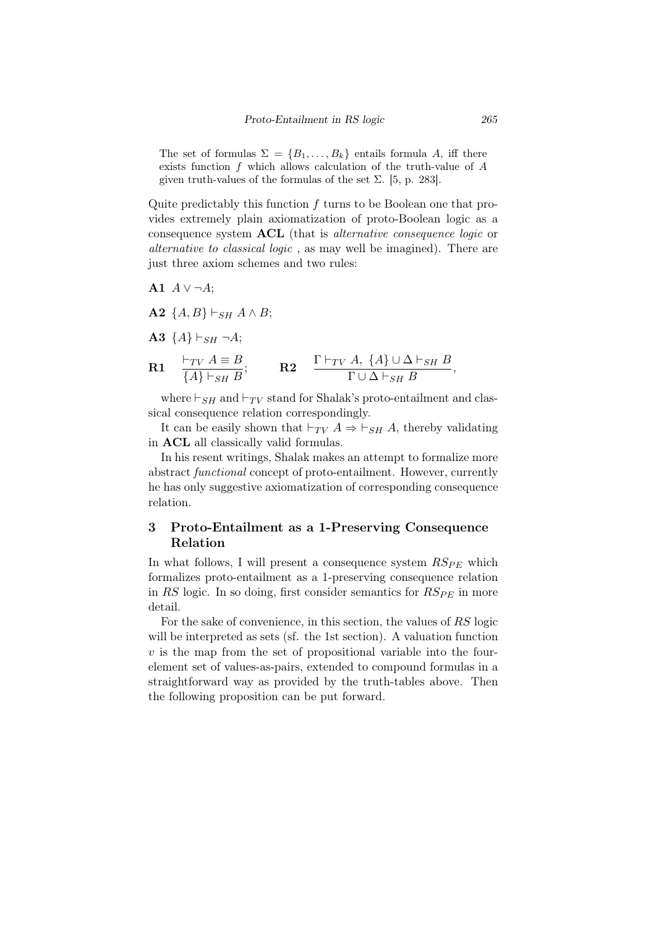The set of formulas  $\Sigma = \{B_1, \ldots, B_k\}$  entails formula *A*, iff there exists function *f* which allows calculation of the truth-value of *A* given truth-values of the formulas of the set  $\Sigma$ . [5, p. 283].

Quite predictably this function *f* turns to be Boolean one that provides extremely plain axiomatization of proto-Boolean logic as a consequence system ACL (that is *alternative consequence logic* or *alternative to classical logic* , as may well be imagined). There are just three axiom schemes and two rules:

**A1** 
$$
A \lor \neg A
$$
;

- $\{A, B\} \vdash_{SH} A \land B;$
- **A3**  ${A}$ <sup>}</sup>  $\vdash$ <sub>*SH*</sub> ¬*A*;

**R1** 
$$
\frac{\vdash_{TV} A \equiv B}{\{A\} \vdash_{SH} B}
$$
; **R2**  $\frac{\Gamma \vdash_{TV} A, \{A\} \cup \Delta \vdash_{SH} B}{\Gamma \cup \Delta \vdash_{SH} B}$ ,

where  $\vdash_{SH}$  and  $\vdash_{TV}$  stand for Shalak's proto-entailment and classical consequence relation correspondingly.

It can be easily shown that  $\vdash_{TV} A \Rightarrow \vdash_{SH} A$ , thereby validating in ACL all classically valid formulas.

In his resent writings, Shalak makes an attempt to formalize more abstract *functional* concept of proto-entailment. However, currently he has only suggestive axiomatization of corresponding consequence relation.

## 3 Proto-Entailment as a 1-Preserving Consequence Relation

In what follows, I will present a consequence system  $RS_{PE}$  which formalizes proto-entailment as a 1-preserving consequence relation in  $RS$  logic. In so doing, first consider semantics for  $RS_{PE}$  in more detail.

For the sake of convenience, in this section, the values of *RS* logic will be interpreted as sets (sf. the 1st section). A valuation function *v* is the map from the set of propositional variable into the fourelement set of values-as-pairs, extended to compound formulas in a straightforward way as provided by the truth-tables above. Then the following proposition can be put forward.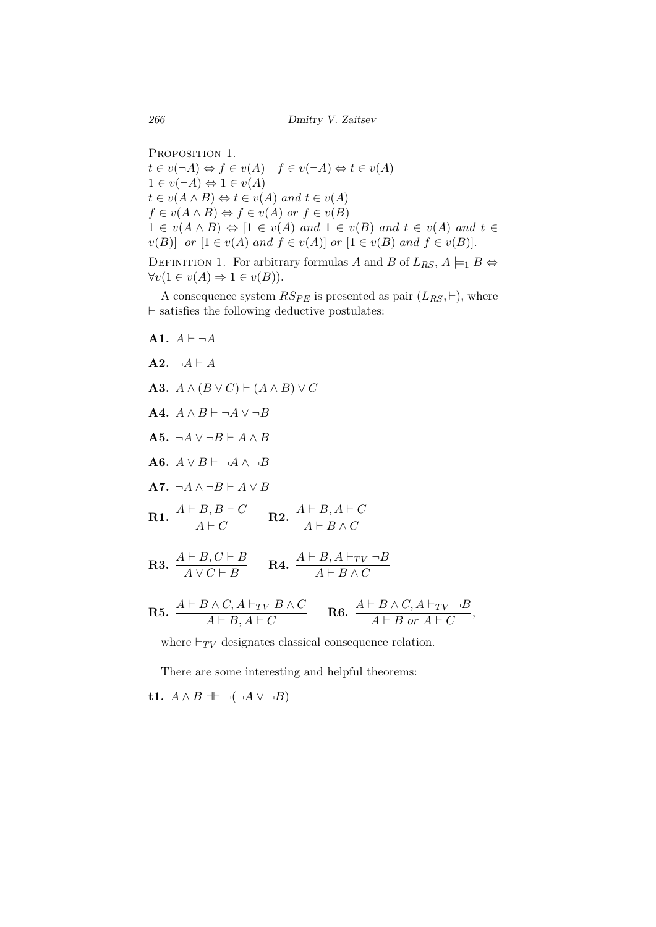*266 Dmitry V. Zaitsev*

PROPOSITION 1.  $t \in v(\neg A) \Leftrightarrow f \in v(A) \quad f \in v(\neg A) \Leftrightarrow t \in v(A)$  $1 \in v(\neg A) \Leftrightarrow 1 \in v(A)$  $t \in v(A \land B) \Leftrightarrow t \in v(A)$  *and*  $t \in v(A)$  $f \in v(A \land B) \Leftrightarrow f \in v(A) \text{ or } f \in v(B)$  $1 \in v(A \land B) \Leftrightarrow [1 \in v(A) \text{ and } 1 \in v(B) \text{ and } t \in v(A) \text{ and } t \in \mathbb{R}$ *v*(*B*)] *or* [1 ∈ *v*(*A*) *and*  $f$  ∈ *v*(*A*)] *or* [1 ∈ *v*(*B*) *and*  $f$  ∈ *v*(*B*)]. DEFINITION 1. For arbitrary formulas *A* and *B* of  $L_{RS}$ ,  $A \models_1 B \Leftrightarrow$  $∀v(1 ∈ v(A) ⇒ 1 ∈ v(B)).$ 

A consequence system  $RS_{PE}$  is presented as pair  $(L_{RS}, \vdash)$ , where *⊢* satisfies the following deductive postulates:

A2.  $\neg A \vdash A$ A3. *A ∧* (*B ∨ C*) *⊢* (*A ∧ B*) *∨ C* A4. *A ∧ B ⊢ ¬A ∨ ¬B* A5. *¬A ∨ ¬B ⊢ A ∧ B* A6. *A ∨ B ⊢ ¬A ∧ ¬B* A7. *¬A ∧ ¬B ⊢ A ∨ B* **R1.**  $\frac{A \vdash B, B \vdash C}{A \vdash C}$  **R2.**  $\frac{A \vdash B, A \vdash C}{A \vdash B \land C}$ **R3.**  $\frac{A \vdash B, C \vdash B}{A \lor C \vdash B}$  **R4.**  $\frac{A \vdash B, A \vdash_{TV} \neg B}{A \vdash B \land C}$  $\mathbf{R5.}~\frac{A \vdash B \land C, A \vdash_{TV} B \land C}{A \vdash B, A \vdash C} \qquad \mathbf{R6.}~\frac{A \vdash B \land C, A \vdash_{TV} \neg B}{A \vdash B~ or~ A \vdash C},$ 

where  $\vdash_{TV}$  designates classical consequence relation.

There are some interesting and helpful theorems:

t1. *A ∧ B ⊣⊢ ¬*(*¬A ∨ ¬B*)

A1.  $A \vdash \neg A$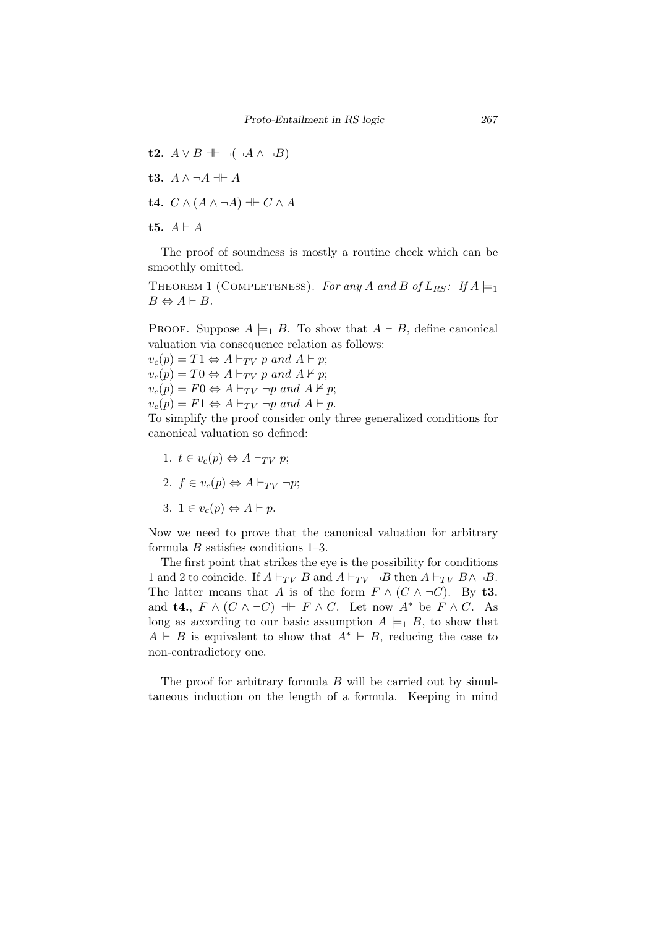t2. *A ∨ B ⊣⊢ ¬*(*¬A ∧ ¬B*) t3. *A ∧ ¬A ⊣⊢ A* t4. *C ∧* (*A ∧ ¬A*) *⊣⊢ C ∧ A* t5.  $A \vdash A$ 

The proof of soundness is mostly a routine check which can be smoothly omitted.

THEOREM 1 (COMPLETENESS). For any *A* and *B* of  $L_{RS}$ : If  $A \models_1$  $B \Leftrightarrow A \vdash B$ .

PROOF. Suppose  $A \models_1 B$ . To show that  $A \models B$ , define canonical valuation via consequence relation as follows:

 $v_c(p) = T1 \Leftrightarrow A \vdash_{TV} p \text{ and } A \vdash p;$  $v_c(p) = T0 \Leftrightarrow A \vdash_{TV} p \text{ and } A \nvdash p;$  $v_c(p) = F0 \Leftrightarrow A \vdash_{TV} \neg p \text{ and } A \nvdash p;$  $v_c(p) = F1 \Leftrightarrow A \vdash_{TV} \neg p \text{ and } A \vdash p.$ To simplify the proof consider only three generalized conditions for

canonical valuation so defined:

1.  $t \in v_c(p) \Leftrightarrow A \vdash_{TV} p;$ 2.  $f \in v_c(p) \Leftrightarrow A \vdash_{TV} \neg p;$ 3.  $1 \in v_c(p) \Leftrightarrow A \vdash p$ .

Now we need to prove that the canonical valuation for arbitrary formula *B* satisfies conditions 1–3.

The first point that strikes the eye is the possibility for conditions 1 and 2 to coincide. If  $A \vdash_{TV} B$  and  $A \vdash_{TV} \neg B$  then  $A \vdash_{TV} B \land \neg B$ . The latter means that *A* is of the form  $F \wedge (C \wedge \neg C)$ . By t3. and **t4.**,  $F \wedge (C \wedge \neg C) \dashv F \wedge C$ . Let now  $A^*$  be  $F \wedge C$ . As long as according to our basic assumption  $A \models_1 B$ , to show that  $A \vdash B$  is equivalent to show that  $A^* \vdash B$ , reducing the case to non-contradictory one.

The proof for arbitrary formula *B* will be carried out by simultaneous induction on the length of a formula. Keeping in mind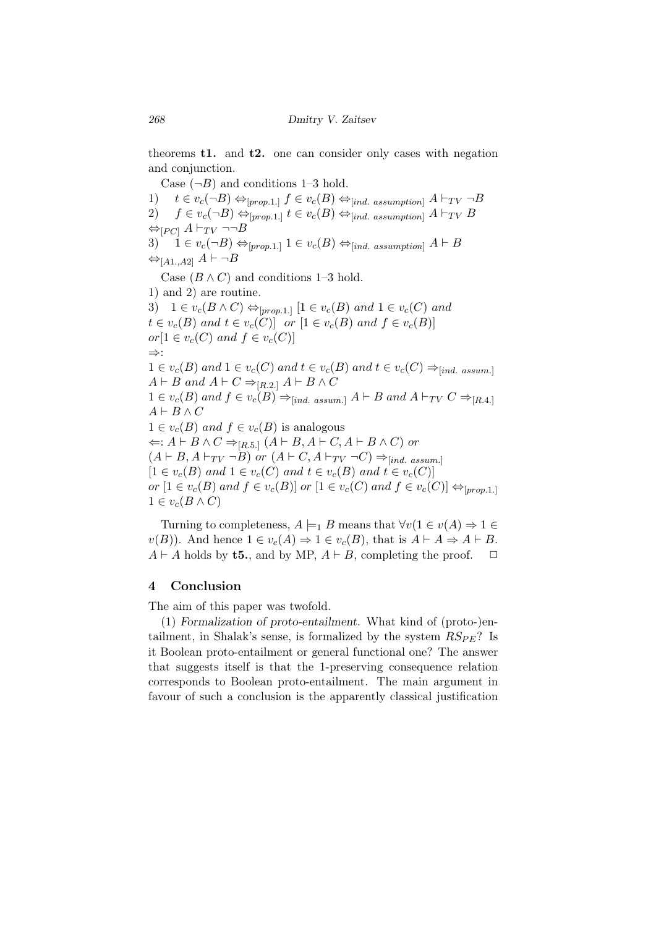theorems t1. and t2. one can consider only cases with negation and conjunction.

Case  $(\neg B)$  and conditions 1–3 hold. 1)  $t \in v_c(\neg B) \Leftrightarrow_{[prop,1]} f \in v_c(B) \Leftrightarrow_{[ind. assumption]} A \vdash_{TV} \neg B$ 2)  $f \in v_c(¬B) \Leftrightarrow_{[prop.1]} t \in v_c(B) \Leftrightarrow_{[ind. assumption]} A ⊢_{TV} B$ *⇔*[*PC*]  $A ⊢_{TV}$  ¬¬*B* 3)  $\vec{i}$   $\in v_c(\neg B) \Leftrightarrow_{[prop.1.]}$   $1 \in v_c(B) \Leftrightarrow_{[ind. assumption]}$   $A \vdash B$ *⇔*[*A*1*.,A*2] *A ⊢ ¬B* Case  $(B \wedge C)$  and conditions 1–3 hold. 1) and 2) are routine. 3) 1 *∈*  $v_c(B \land C) \Leftrightarrow_{[prop.1]} [1 \in v_c(B) \text{ and } 1 \in v_c(C) \text{ and }$  $t \in v_c(B)$  *and*  $t \in v_c(C)$  *or*  $[1 \in v_c(B)$  *and*  $f \in v_c(B)$  $or[1 \in v_c(C) \text{ and } f \in v_c(C)]$ *⇒*: 1  $∈ v_c(B)$  and 1  $∈ v_c(C)$  and  $t ∈ v_c(B)$  and  $t ∈ v_c(C) \Rightarrow_{[ind. \; assumption]}$ *A*  $\vdash$  *B* and *A*  $\vdash$  *C* ⇒<sub>[*R.2.*]</sub> *A*  $\vdash$  *B*  $\land$  *C* 1 ∈  $v_c(B)$  and  $f \in v_c(B) \Rightarrow |_{ind.}$  assum.]  $A \vdash B$  and  $A \vdash_{TV} C \Rightarrow |_{R.4}$ .] *A ⊢ B ∧ C*  $1 \in v_c(B)$  *and*  $f \in v_c(B)$  is analogous *⇐*: *A ⊢ B ∧ C ⇒*[*R.*5*.*] (*A ⊢ B, A ⊢ C, A ⊢ B ∧ C*) *or*  $(A \vdash B, A \vdash_{TV} \neg B)$  *or*  $(A \vdash C, A \vdash_{TV} \neg C) \Rightarrow_{[ind. \; assumption]}$  $[1 \in v_c(B) \text{ and } 1 \in v_c(C) \text{ and } t \in v_c(B) \text{ and } t \in v_c(C)]$ or  $[1 \in v_c(B)$  and  $f \in v_c(B)]$  or  $[1 \in v_c(C)$  and  $f \in v_c(C)] \Leftrightarrow_{[prop,1,1]}$  $1 \in v_c(B \wedge C)$ 

Turning to completeness,  $A \models_1 B$  means that  $\forall v (1 \in v(A) \Rightarrow 1 \in$ *v*(*B*)). And hence  $1 \in v_c(A)$  ⇒  $1 \in v_c(B)$ , that is  $A \vdash A \Rightarrow A \vdash B$ .  $A \vdash A$  holds by **t5.**, and by MP,  $A \vdash B$ , completing the proof.  $\Box$ 

#### 4 Conclusion

The aim of this paper was twofold.

(1) *Formalization of proto-entailment.* What kind of (proto-)entailment, in Shalak's sense, is formalized by the system  $RS_{PE}$ ? Is it Boolean proto-entailment or general functional one? The answer that suggests itself is that the 1-preserving consequence relation corresponds to Boolean proto-entailment. The main argument in favour of such a conclusion is the apparently classical justification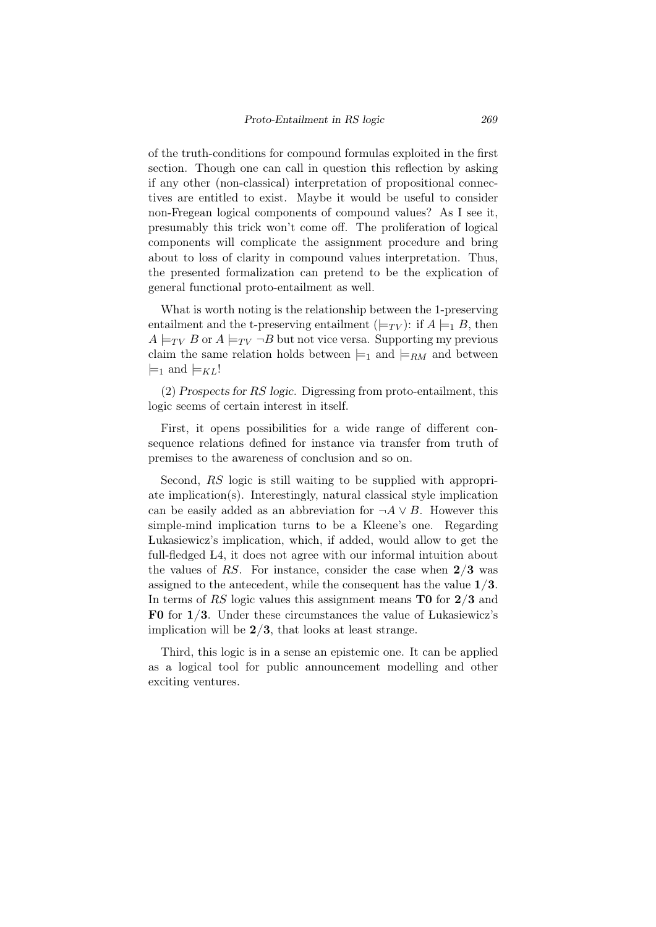of the truth-conditions for compound formulas exploited in the first section. Though one can call in question this reflection by asking if any other (non-classical) interpretation of propositional connectives are entitled to exist. Maybe it would be useful to consider non-Fregean logical components of compound values? As I see it, presumably this trick won't come off. The proliferation of logical components will complicate the assignment procedure and bring about to loss of clarity in compound values interpretation. Thus, the presented formalization can pretend to be the explication of general functional proto-entailment as well.

What is worth noting is the relationship between the 1-preserving entailment and the t-preserving entailment  $(\models_{TV})$ : if  $A \models_1 B$ , then  $A \models_{TV} B$  or  $A \models_{TV} \neg B$  but not vice versa. Supporting my previous claim the same relation holds between  $\models_1$  and  $\models_{RM}$  and between  $\models$ <sub>1</sub> and  $\models$ <sub>*KL</sub>*!</sub>

(2) *Prospects for RS logic.* Digressing from proto-entailment, this logic seems of certain interest in itself.

First, it opens possibilities for a wide range of different consequence relations defined for instance via transfer from truth of premises to the awareness of conclusion and so on.

Second, *RS* logic is still waiting to be supplied with appropriate implication(s). Interestingly, natural classical style implication can be easily added as an abbreviation for  $\neg A \lor B$ . However this simple-mind implication turns to be a Kleene's one. Regarding Lukasiewicz's implication, which, if added, would allow to get the full-fledged L4, it does not agree with our informal intuition about the values of *RS*. For instance, consider the case when 2/3 was assigned to the antecedent, while the consequent has the value 1/3. In terms of *RS* logic values this assignment means **T0** for 2/3 and F0 for 1/3. Under these circumstances the value of Lukasiewicz's implication will be  $2/3$ , that looks at least strange.

Third, this logic is in a sense an epistemic one. It can be applied as a logical tool for public announcement modelling and other exciting ventures.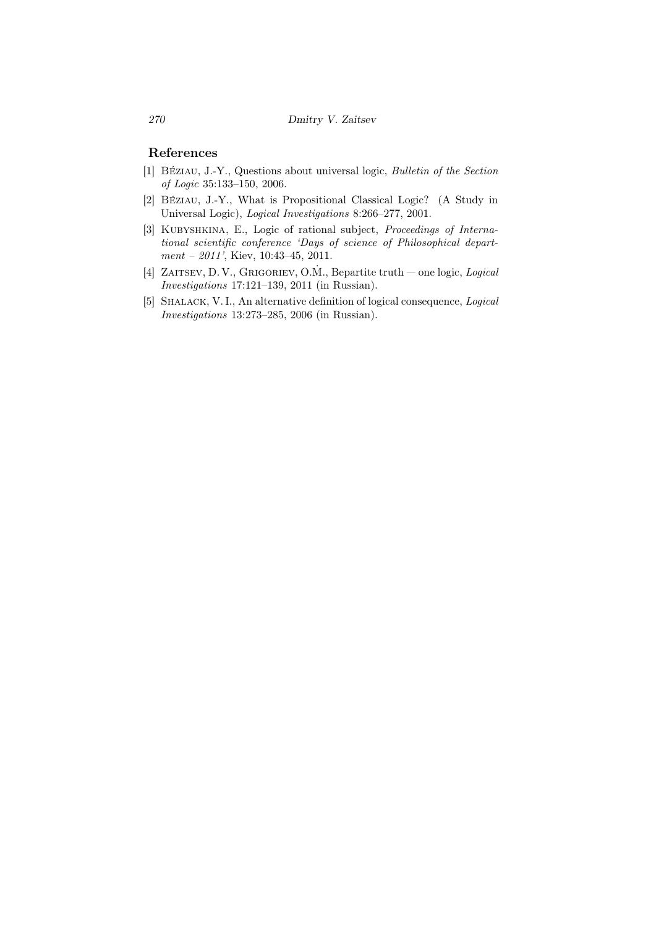### References

- [1] BE´ziau, J.-Y., Questions about universal logic, *Bulletin of the Section of Logic* 35:133–150, 2006.
- [2] BE´ziau, J.-Y., What is Propositional Classical Logic? (A Study in Universal Logic), *Logical Investigations* 8:266–277, 2001.
- [3] Kubyshkina, E., Logic of rational subject, *Proceedings of International scientific conference 'Days of science of Philosophical department – 2011'*, Kiev, 10:43–45, 2011.
- [4] ZAITSEV, D. V., GRIGORIEV, O.M., Bepartite truth one logic, *Logical Investigations* 17:121–139, 2011 (in Russian).
- [5] Shalack, V. I., An alternative definition of logical consequence, *Logical Investigations* 13:273–285, 2006 (in Russian).